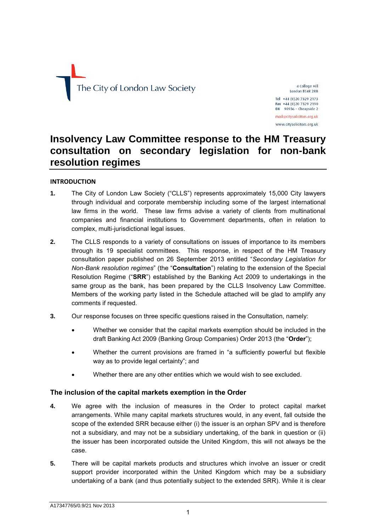# The City of London Law Society

4 College Hill London EC4R 2RB Tel +44 (0) 20 7329 2173

Fax  $+44$  (0)20 7329 2190<br>DX 98936 - Cheapside 2

mail@citysolicitors.org.uk www.citysolicitors.org.uk

# **Insolvency Law Committee response to the HM Treasury consultation on secondary legislation for non-bank resolution regimes**

## **INTRODUCTION**

- **1.** The City of London Law Society ("CLLS") represents approximately 15,000 City lawyers through individual and corporate membership including some of the largest international law firms in the world. These law firms advise a variety of clients from multinational companies and financial institutions to Government departments, often in relation to complex, multi-jurisdictional legal issues.
- **2.** The CLLS responds to a variety of consultations on issues of importance to its members through its 19 specialist committees. This response, in respect of the HM Treasury consultation paper published on 26 September 2013 entitled "*Secondary Legislation for Non-Bank resolution regimes*" (the "**Consultation**") relating to the extension of the Special Resolution Regime ("**SRR**") established by the Banking Act 2009 to undertakings in the same group as the bank, has been prepared by the CLLS Insolvency Law Committee. Members of the working party listed in the Schedule attached will be glad to amplify any comments if requested.
- **3.** Our response focuses on three specific questions raised in the Consultation, namely:
	- Whether we consider that the capital markets exemption should be included in the draft Banking Act 2009 (Banking Group Companies) Order 2013 (the "**Order**");
	- Whether the current provisions are framed in "a sufficiently powerful but flexible way as to provide legal certainty"; and
	- Whether there are any other entities which we would wish to see excluded.

# **The inclusion of the capital markets exemption in the Order**

- **4.** We agree with the inclusion of measures in the Order to protect capital market arrangements. While many capital markets structures would, in any event, fall outside the scope of the extended SRR because either (i) the issuer is an orphan SPV and is therefore not a subsidiary, and may not be a subsidiary undertaking, of the bank in question or (ii) the issuer has been incorporated outside the United Kingdom, this will not always be the case.
- **5.** There will be capital markets products and structures which involve an issuer or credit support provider incorporated within the United Kingdom which may be a subsidiary undertaking of a bank (and thus potentially subject to the extended SRR). While it is clear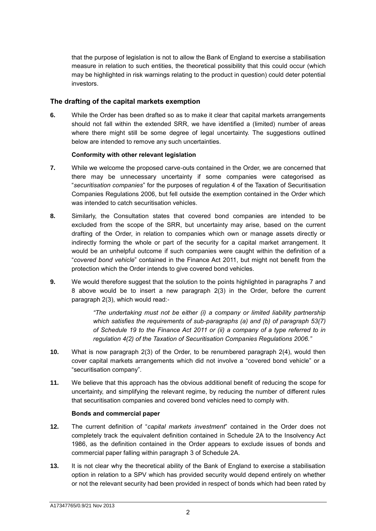that the purpose of legislation is not to allow the Bank of England to exercise a stabilisation measure in relation to such entities, the theoretical possibility that this could occur (which may be highlighted in risk warnings relating to the product in question) could deter potential investors.

# **The drafting of the capital markets exemption**

**6.** While the Order has been drafted so as to make it clear that capital markets arrangements should not fall within the extended SRR, we have identified a (limited) number of areas where there might still be some degree of legal uncertainty. The suggestions outlined below are intended to remove any such uncertainties.

#### **Conformity with other relevant legislation**

- **7.** While we welcome the proposed carve-outs contained in the Order, we are concerned that there may be unnecessary uncertainty if some companies were categorised as "*securitisation companies*" for the purposes of regulation 4 of the Taxation of Securitisation Companies Regulations 2006, but fell outside the exemption contained in the Order which was intended to catch securitisation vehicles.
- **8.** Similarly, the Consultation states that covered bond companies are intended to be excluded from the scope of the SRR, but uncertainty may arise, based on the current drafting of the Order, in relation to companies which own or manage assets directly or indirectly forming the whole or part of the security for a capital market arrangement. It would be an unhelpful outcome if such companies were caught within the definition of a "*covered bond vehicle*" contained in the Finance Act 2011, but might not benefit from the protection which the Order intends to give covered bond vehicles.
- **9.** We would therefore suggest that the solution to the points highlighted in paragraphs 7 and 8 above would be to insert a new paragraph 2(3) in the Order, before the current paragraph 2(3), which would read:-

*"The undertaking must not be either (i) a company or limited liability partnership which satisfies the requirements of sub-paragraphs (a) and (b) of paragraph 53(7) of Schedule 19 to the Finance Act 2011 or (ii) a company of a type referred to in regulation 4(2) of the Taxation of Securitisation Companies Regulations 2006."*

- **10.** What is now paragraph 2(3) of the Order, to be renumbered paragraph 2(4), would then cover capital markets arrangements which did not involve a "covered bond vehicle" or a "securitisation company".
- **11.** We believe that this approach has the obvious additional benefit of reducing the scope for uncertainty, and simplifying the relevant regime, by reducing the number of different rules that securitisation companies and covered bond vehicles need to comply with.

#### **Bonds and commercial paper**

- **12.** The current definition of "*capital markets investment*" contained in the Order does not completely track the equivalent definition contained in Schedule 2A to the Insolvency Act 1986, as the definition contained in the Order appears to exclude issues of bonds and commercial paper falling within paragraph 3 of Schedule 2A.
- **13.** It is not clear why the theoretical ability of the Bank of England to exercise a stabilisation option in relation to a SPV which has provided security would depend entirely on whether or not the relevant security had been provided in respect of bonds which had been rated by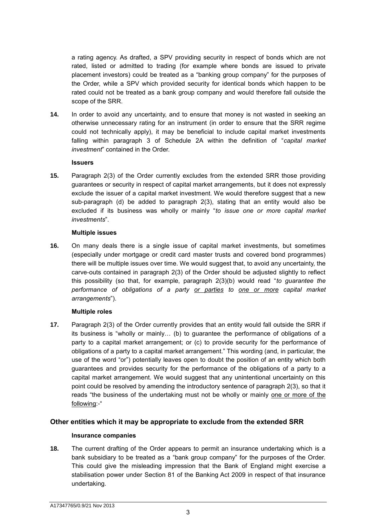a rating agency. As drafted, a SPV providing security in respect of bonds which are not rated, listed or admitted to trading (for example where bonds are issued to private placement investors) could be treated as a "banking group company" for the purposes of the Order, while a SPV which provided security for identical bonds which happen to be rated could not be treated as a bank group company and would therefore fall outside the scope of the SRR.

**14.** In order to avoid any uncertainty, and to ensure that money is not wasted in seeking an otherwise unnecessary rating for an instrument (in order to ensure that the SRR regime could not technically apply), it may be beneficial to include capital market investments falling within paragraph 3 of Schedule 2A within the definition of "*capital market investment*" contained in the Order.

#### **Issuers**

**15.** Paragraph 2(3) of the Order currently excludes from the extended SRR those providing guarantees or security in respect of capital market arrangements, but it does not expressly exclude the issuer of a capital market investment. We would therefore suggest that a new sub-paragraph (d) be added to paragraph 2(3), stating that an entity would also be excluded if its business was wholly or mainly "*to issue one or more capital market investments*".

#### **Multiple issues**

**16.** On many deals there is a single issue of capital market investments, but sometimes (especially under mortgage or credit card master trusts and covered bond programmes) there will be multiple issues over time. We would suggest that, to avoid any uncertainty, the carve-outs contained in paragraph 2(3) of the Order should be adjusted slightly to reflect this possibility (so that, for example, paragraph 2(3)(b) would read "*to guarantee the performance of obligations of a party or parties to one or more capital market arrangements*").

## **Multiple roles**

**17.** Paragraph 2(3) of the Order currently provides that an entity would fall outside the SRR if its business is "wholly or mainly… (b) to guarantee the performance of obligations of a party to a capital market arrangement; or (c) to provide security for the performance of obligations of a party to a capital market arrangement." This wording (and, in particular, the use of the word "or") potentially leaves open to doubt the position of an entity which both guarantees and provides security for the performance of the obligations of a party to a capital market arrangement. We would suggest that any unintentional uncertainty on this point could be resolved by amending the introductory sentence of paragraph 2(3), so that it reads "the business of the undertaking must not be wholly or mainly one or more of the following:-"

# **Other entities which it may be appropriate to exclude from the extended SRR**

## **Insurance companies**

**18.** The current drafting of the Order appears to permit an insurance undertaking which is a bank subsidiary to be treated as a "bank group company" for the purposes of the Order. This could give the misleading impression that the Bank of England might exercise a stabilisation power under Section 81 of the Banking Act 2009 in respect of that insurance undertaking.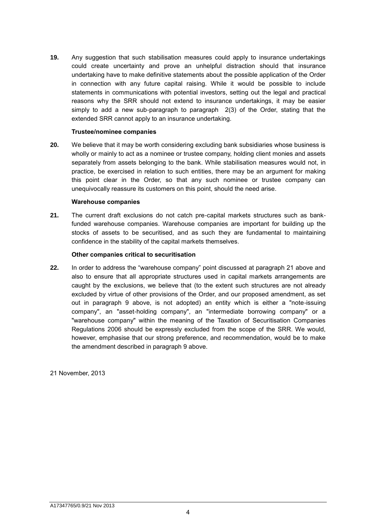**19.** Any suggestion that such stabilisation measures could apply to insurance undertakings could create uncertainty and prove an unhelpful distraction should that insurance undertaking have to make definitive statements about the possible application of the Order in connection with any future capital raising. While it would be possible to include statements in communications with potential investors, setting out the legal and practical reasons why the SRR should not extend to insurance undertakings, it may be easier simply to add a new sub-paragraph to paragraph 2(3) of the Order, stating that the extended SRR cannot apply to an insurance undertaking.

#### **Trustee/nominee companies**

**20.** We believe that it may be worth considering excluding bank subsidiaries whose business is wholly or mainly to act as a nominee or trustee company, holding client monies and assets separately from assets belonging to the bank. While stabilisation measures would not, in practice, be exercised in relation to such entities, there may be an argument for making this point clear in the Order, so that any such nominee or trustee company can unequivocally reassure its customers on this point, should the need arise.

#### **Warehouse companies**

**21.** The current draft exclusions do not catch pre-capital markets structures such as bankfunded warehouse companies. Warehouse companies are important for building up the stocks of assets to be securitised, and as such they are fundamental to maintaining confidence in the stability of the capital markets themselves.

#### **Other companies critical to securitisation**

**22.** In order to address the "warehouse company" point discussed at paragraph 21 above and also to ensure that all appropriate structures used in capital markets arrangements are caught by the exclusions, we believe that (to the extent such structures are not already excluded by virtue of other provisions of the Order, and our proposed amendment, as set out in paragraph 9 above, is not adopted) an entity which is either a "note-issuing company", an "asset-holding company", an "intermediate borrowing company" or a "warehouse company" within the meaning of the Taxation of Securitisation Companies Regulations 2006 should be expressly excluded from the scope of the SRR. We would, however, emphasise that our strong preference, and recommendation, would be to make the amendment described in paragraph 9 above.

21 November, 2013